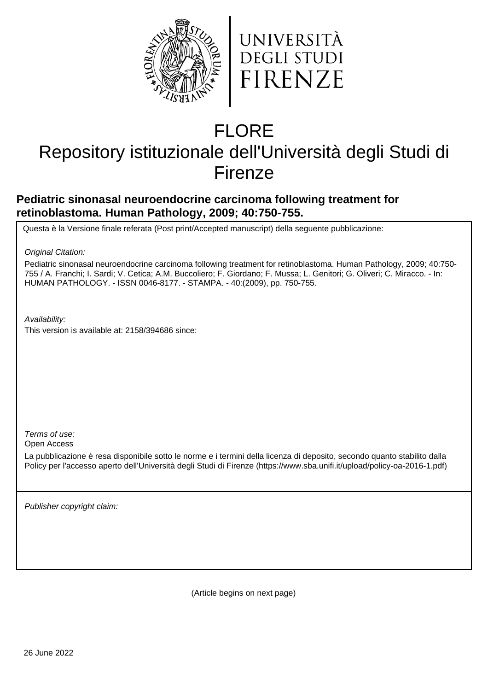



# FLORE

## Repository istituzionale dell'Università degli Studi di Firenze

### **Pediatric sinonasal neuroendocrine carcinoma following treatment for retinoblastoma. Human Pathology, 2009; 40:750-755.**

Questa è la Versione finale referata (Post print/Accepted manuscript) della seguente pubblicazione:

Original Citation:

Pediatric sinonasal neuroendocrine carcinoma following treatment for retinoblastoma. Human Pathology, 2009; 40:750- 755 / A. Franchi; I. Sardi; V. Cetica; A.M. Buccoliero; F. Giordano; F. Mussa; L. Genitori; G. Oliveri; C. Miracco. - In: HUMAN PATHOLOGY. - ISSN 0046-8177. - STAMPA. - 40:(2009), pp. 750-755.

Availability:

This version is available at: 2158/394686 since:

Terms of use:

Open Access

La pubblicazione è resa disponibile sotto le norme e i termini della licenza di deposito, secondo quanto stabilito dalla Policy per l'accesso aperto dell'Università degli Studi di Firenze (https://www.sba.unifi.it/upload/policy-oa-2016-1.pdf)

Publisher copyright claim:

(Article begins on next page)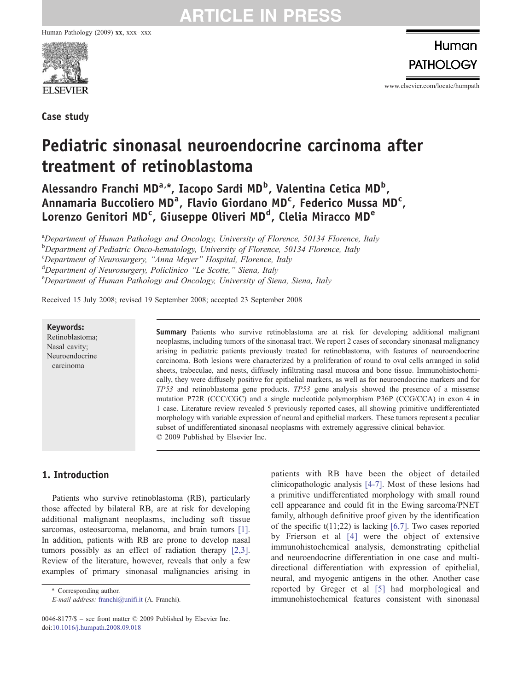Human Pathology (2009) xx, xxx–xxx



Case study

Human **PATHOLOGY** 

www.elsevier.com/locate/humpath

### Pediatric sinonasal neuroendocrine carcinoma after treatment of retinoblastoma

Alessandro Franchi MD<sup>a,\*</sup>, Iacopo Sardi MD<sup>b</sup>, Valentina Cetica MD<sup>b</sup>, Annamaria Buccoliero MD<sup>a</sup>, Flavio Giordano MD<sup>c</sup>, Federico Mussa MD<sup>c</sup>, Lorenzo Genitori MD<sup>c</sup>, Giuseppe Oliveri MD<sup>d</sup>, Clelia Miracco MD<sup>e</sup>

<sup>a</sup>Department of Human Pathology and Oncology, University of Florence, 50134 Florence, Italy <sup>b</sup>Department of Pediatric Onco-hematology, University of Florence, 50134 Florence, Italy c Department of Neurosurgery, "Anna Meyer" Hospital, Florence, Italy d<br> **Department of Neurosurgery, Policlinico "Le Scotte," Siena, Italy**<br> **CDepartment of Human Pathology and Oncology University of Sie** Department of Human Pathology and Oncology, University of Siena, Siena, Italy

Received 15 July 2008; revised 19 September 2008; accepted 23 September 2008

#### Keywords:

Retinoblastoma; Nasal cavity; Neuroendocrine carcinoma

Summary Patients who survive retinoblastoma are at risk for developing additional malignant neoplasms, including tumors of the sinonasal tract. We report 2 cases of secondary sinonasal malignancy arising in pediatric patients previously treated for retinoblastoma, with features of neuroendocrine carcinoma. Both lesions were characterized by a proliferation of round to oval cells arranged in solid sheets, trabeculae, and nests, diffusely infiltrating nasal mucosa and bone tissue. Immunohistochemically, they were diffusely positive for epithelial markers, as well as for neuroendocrine markers and for TP53 and retinoblastoma gene products. TP53 gene analysis showed the presence of a missense mutation P72R (CCC/CGC) and a single nucleotide polymorphism P36P (CCG/CCA) in exon 4 in 1 case. Literature review revealed 5 previously reported cases, all showing primitive undifferentiated morphology with variable expression of neural and epithelial markers. These tumors represent a peculiar subset of undifferentiated sinonasal neoplasms with extremely aggressive clinical behavior. © 2009 Published by Elsevier Inc.

### 1. Introduction

Patients who survive retinoblastoma (RB), particularly those affected by bilateral RB, are at risk for developing additional malignant neoplasms, including soft tissue sarcomas, osteosarcoma, melanoma, and brain tumors [1]. In addition, patients with RB are prone to develop nasal tumors possibly as an effect of radiation therapy [2,3]. Review of the literature, however, reveals that only a few examples of primary sinonasal malignancies arising in

⁎ Corresponding author.

E-mail address: [franchi@unifi.it](mailto:franchi@unifi.it) (A. Franchi).

patients with RB have been the object of detailed clinicopathologic analysis [4-7]. Most of these lesions had a primitive undifferentiated morphology with small round cell appearance and could fit in the Ewing sarcoma/PNET family, although definitive proof given by the identification of the specific  $t(11;22)$  is lacking [6,7]. Two cases reported by Frierson et al [4] were the object of extensive immunohistochemical analysis, demonstrating epithelial and neuroendocrine differentiation in one case and multidirectional differentiation with expression of epithelial, neural, and myogenic antigens in the other. Another case reported by Greger et al [5] had morphological and immunohistochemical features consistent with sinonasal

<sup>0046-8177/\$</sup> – see front matter © 2009 Published by Elsevier Inc. doi[:10.1016/j.humpath.2008.09.018](http://dx.doi.org/10.1016/j.humpath.2008.09.018)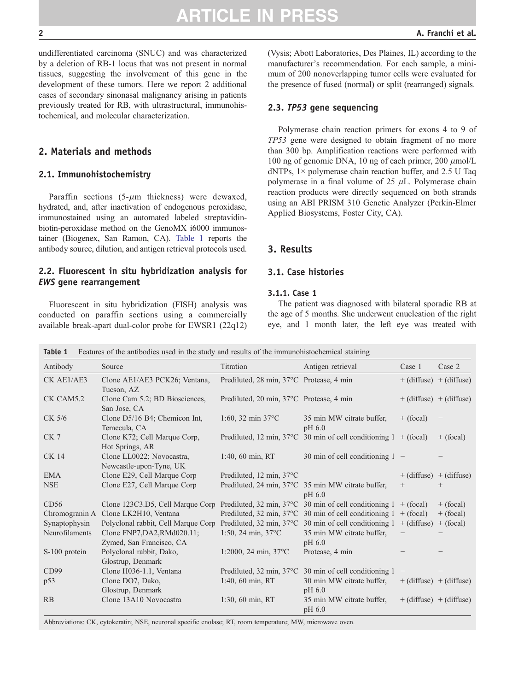undifferentiated carcinoma (SNUC) and was characterized by a deletion of RB-1 locus that was not present in normal tissues, suggesting the involvement of this gene in the development of these tumors. Here we report 2 additional cases of secondary sinonasal malignancy arising in patients previously treated for RB, with ultrastructural, immunohistochemical, and molecular characterization.

### 2. Materials and methods

### 2.1. Immunohistochemistry

Paraffin sections  $(5-\mu m)$  thickness) were dewaxed, hydrated, and, after inactivation of endogenous peroxidase, immunostained using an automated labeled streptavidinbiotin-peroxidase method on the GenoMX i6000 immunostainer (Biogenex, San Ramon, CA). Table 1 reports the antibody source, dilution, and antigen retrieval protocols used.

### 2.2. Fluorescent in situ hybridization analysis for EWS gene rearrangement

Fluorescent in situ hybridization (FISH) analysis was conducted on paraffin sections using a commercially available break-apart dual-color probe for EWSR1 (22q12) (Vysis; Abott Laboratories, Des Plaines, IL) according to the manufacturer's recommendation. For each sample, a minimum of 200 nonoverlapping tumor cells were evaluated for the presence of fused (normal) or split (rearranged) signals.

### 2.3. TP53 gene sequencing

Polymerase chain reaction primers for exons 4 to 9 of TP53 gene were designed to obtain fragment of no more than 300 bp. Amplification reactions were performed with 100 ng of genomic DNA, 10 ng of each primer, 200  $\mu$ mol/L dNTPs,  $1 \times$  polymerase chain reaction buffer, and 2.5 U Taq polymerase in a final volume of  $25 \mu L$ . Polymerase chain reaction products were directly sequenced on both strands using an ABI PRISM 310 Genetic Analyzer (Perkin-Elmer Applied Biosystems, Foster City, CA).

### 3. Results

### 3.1. Case histories

### 3.1.1. Case 1

The patient was diagnosed with bilateral sporadic RB at the age of 5 months. She underwent enucleation of the right eye, and 1 month later, the left eye was treated with

| Table 1<br>Features of the antibodies used in the study and results of the immunohistochemical staining |                                                         |                                          |                                                                            |                   |                             |  |  |  |  |
|---------------------------------------------------------------------------------------------------------|---------------------------------------------------------|------------------------------------------|----------------------------------------------------------------------------|-------------------|-----------------------------|--|--|--|--|
| Antibody                                                                                                | Source                                                  | Titration                                | Antigen retrieval                                                          | Case 1            | Case 2                      |  |  |  |  |
| CK AE1/AE3                                                                                              | Clone AE1/AE3 PCK26; Ventana,<br>Tucson, AZ             | Prediluted, 28 min, 37°C Protease, 4 min |                                                                            |                   | $+$ (diffuse) $+$ (diffuse) |  |  |  |  |
| CK CAM5.2                                                                                               | Clone Cam 5.2; BD Biosciences,<br>San Jose, CA          | Prediluted, 20 min, 37°C Protease, 4 min |                                                                            |                   | $+$ (diffuse) $+$ (diffuse) |  |  |  |  |
| CK 5/6                                                                                                  | Clone D5/16 B4; Chemicon Int,<br>Temecula, CA           | 1:60, 32 min $37^{\circ}$ C              | 35 min MW citrate buffer,<br>$pH\$ 6.0                                     | $+$ (focal)       |                             |  |  |  |  |
| CK <sub>7</sub>                                                                                         | Clone K72; Cell Marque Corp,<br>Hot Springs, AR         |                                          | Prediluted, 12 min, $37^{\circ}$ C 30 min of cell conditioning 1 + (focal) |                   | $+$ (focal)                 |  |  |  |  |
| <b>CK 14</b>                                                                                            | Clone LL0022; Novocastra,<br>Newcastle-upon-Tyne, UK    | 1:40, 60 min, RT                         | 30 min of cell conditioning 1                                              | $\qquad \qquad -$ |                             |  |  |  |  |
| <b>EMA</b>                                                                                              | Clone E29, Cell Marque Corp                             | Prediluted, 12 min, 37°C                 |                                                                            |                   | $+$ (diffuse) $+$ (diffuse) |  |  |  |  |
| <b>NSE</b>                                                                                              | Clone E27, Cell Marque Corp                             |                                          | Prediluted, 24 min, 37 °C 35 min MW citrate buffer,<br>$pH\,6.0$           | $^{+}$            | $^{+}$                      |  |  |  |  |
| CD56                                                                                                    | Clone 123C3.D5, Cell Marque Corp                        |                                          | Prediluted, 32 min, $37^{\circ}$ C 30 min of cell conditioning 1 + (focal) |                   | $+$ (focal)                 |  |  |  |  |
| Chromogranin A                                                                                          | Clone LK2H10, Ventana                                   |                                          | Prediluted, 32 min, 37 $\degree$ C 30 min of cell conditioning 1 + (focal) |                   | $+$ (focal)                 |  |  |  |  |
| Synaptophysin                                                                                           | Polyclonal rabbit, Cell Marque Corp                     |                                          | Prediluted, 32 min, 37°C 30 min of cell conditioning $1 + (diffuse)$       |                   | $+$ (focal)                 |  |  |  |  |
| Neurofilaments                                                                                          | Clone FNP7, DA2, RMd020.11;<br>Zymed, San Francisco, CA | 1:50, 24 min, $37^{\circ}$ C             | 35 min MW citrate buffer,<br>pH 6.0                                        |                   |                             |  |  |  |  |
| S-100 protein                                                                                           | Polyclonal rabbit, Dako,<br>Glostrup, Denmark           | 1:2000, 24 min, $37^{\circ}$ C           | Protease, 4 min                                                            |                   |                             |  |  |  |  |
| CD99                                                                                                    | Clone H036-1.1, Ventana                                 |                                          | Prediluted, 32 min, 37°C 30 min of cell conditioning 1                     |                   |                             |  |  |  |  |
| p53                                                                                                     | Clone DO7, Dako,<br>Glostrup, Denmark                   | 1:40, 60 min, RT                         | 30 min MW citrate buffer,<br>pH <sub>6.0</sub>                             |                   | $+$ (diffuse) $+$ (diffuse) |  |  |  |  |
| RB                                                                                                      | Clone 13A10 Novocastra                                  | 1:30, 60 min, RT                         | 35 min MW citrate buffer,<br>pH 6.0                                        |                   | $+$ (diffuse) $+$ (diffuse) |  |  |  |  |

Abbreviations: CK, cytokeratin; NSE, neuronal specific enolase; RT, room temperature; MW, microwave oven.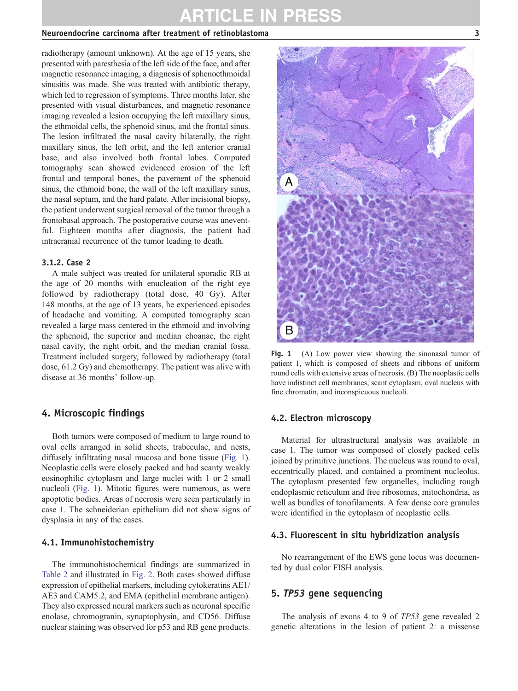### ARTICLE IN PRESS

### Neuroendocrine carcinoma after treatment of retinoblastoma 3

radiotherapy (amount unknown). At the age of 15 years, she presented with paresthesia of the left side of the face, and after magnetic resonance imaging, a diagnosis of sphenoethmoidal sinusitis was made. She was treated with antibiotic therapy, which led to regression of symptoms. Three months later, she presented with visual disturbances, and magnetic resonance imaging revealed a lesion occupying the left maxillary sinus, the ethmoidal cells, the sphenoid sinus, and the frontal sinus. The lesion infiltrated the nasal cavity bilaterally, the right maxillary sinus, the left orbit, and the left anterior cranial base, and also involved both frontal lobes. Computed tomography scan showed evidenced erosion of the left frontal and temporal bones, the pavement of the sphenoid sinus, the ethmoid bone, the wall of the left maxillary sinus, the nasal septum, and the hard palate. After incisional biopsy, the patient underwent surgical removal of the tumor through a frontobasal approach. The postoperative course was uneventful. Eighteen months after diagnosis, the patient had intracranial recurrence of the tumor leading to death.

#### 3.1.2. Case 2

A male subject was treated for unilateral sporadic RB at the age of 20 months with enucleation of the right eye followed by radiotherapy (total dose, 40 Gy). After 148 months, at the age of 13 years, he experienced episodes of headache and vomiting. A computed tomography scan revealed a large mass centered in the ethmoid and involving the sphenoid, the superior and median choanae, the right nasal cavity, the right orbit, and the median cranial fossa. Treatment included surgery, followed by radiotherapy (total dose, 61.2 Gy) and chemotherapy. The patient was alive with disease at 36 months' follow-up.

### 4. Microscopic findings

Both tumors were composed of medium to large round to oval cells arranged in solid sheets, trabeculae, and nests, diffusely infiltrating nasal mucosa and bone tissue (Fig. 1). Neoplastic cells were closely packed and had scanty weakly eosinophilic cytoplasm and large nuclei with 1 or 2 small nucleoli (Fig. 1). Mitotic figures were numerous, as were apoptotic bodies. Areas of necrosis were seen particularly in case 1. The schneiderian epithelium did not show signs of dysplasia in any of the cases.

### 4.1. Immunohistochemistry

The immunohistochemical findings are summarized in Table 2 and illustrated in Fig. 2. Both cases showed diffuse expression of epithelial markers, including cytokeratins AE1/ AE3 and CAM5.2, and EMA (epithelial membrane antigen). They also expressed neural markers such as neuronal specific enolase, chromogranin, synaptophysin, and CD56. Diffuse nuclear staining was observed for p53 and RB gene products.



Fig. 1 (A) Low power view showing the sinonasal tumor of patient 1, which is composed of sheets and ribbons of uniform round cells with extensive areas of necrosis. (B) The neoplastic cells have indistinct cell membranes, scant cytoplasm, oval nucleus with fine chromatin, and inconspicuous nucleoli.

#### 4.2. Electron microscopy

Material for ultrastructural analysis was available in case 1. The tumor was composed of closely packed cells joined by primitive junctions. The nucleus was round to oval, eccentrically placed, and contained a prominent nucleolus. The cytoplasm presented few organelles, including rough endoplasmic reticulum and free ribosomes, mitochondria, as well as bundles of tonofilaments. A few dense core granules were identified in the cytoplasm of neoplastic cells.

#### 4.3. Fluorescent in situ hybridization analysis

No rearrangement of the EWS gene locus was documented by dual color FISH analysis.

### 5. TP53 gene sequencing

The analysis of exons 4 to 9 of TP53 gene revealed 2 genetic alterations in the lesion of patient 2: a missense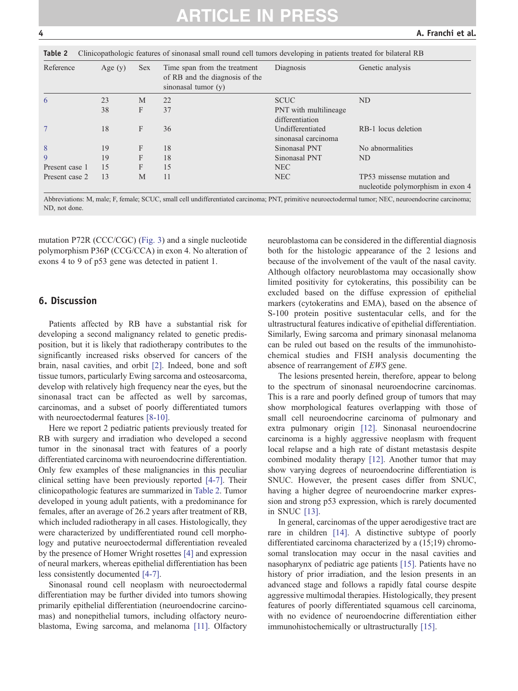Table 2 Clinicopathologic features of sinonal small round cell tumors developing in patients treated for bilateral RBB

| <b>Table 2</b> Chincopathologic reatures of shionasar small found cell turnors developing in patients treated for bifateral KD |           |            |                                                                                       |                                          |                                                                 |  |
|--------------------------------------------------------------------------------------------------------------------------------|-----------|------------|---------------------------------------------------------------------------------------|------------------------------------------|-----------------------------------------------------------------|--|
| Reference                                                                                                                      | Age $(y)$ | <b>Sex</b> | Time span from the treatment<br>of RB and the diagnosis of the<br>sinonasal tumor (y) | Diagnosis                                | Genetic analysis                                                |  |
| 6                                                                                                                              | 23        | M          | 22                                                                                    | <b>SCUC</b>                              | ND                                                              |  |
|                                                                                                                                | 38        | F          | 37                                                                                    | PNT with multilineage<br>differentiation |                                                                 |  |
| $\tau$                                                                                                                         | 18        | F          | 36                                                                                    | Undifferentiated<br>sinonasal carcinoma  | RB-1 locus deletion                                             |  |
| 8                                                                                                                              | 19        | F          | 18                                                                                    | Sinonasal PNT                            | No abnormalities                                                |  |
| 9                                                                                                                              | 19        | F          | 18                                                                                    | Sinonasal PNT                            | ND                                                              |  |
| Present case 1                                                                                                                 | 15        | F          | 15                                                                                    | <b>NEC</b>                               |                                                                 |  |
| Present case 2                                                                                                                 | 13        | M          | 11                                                                                    | NEC                                      | TP53 missense mutation and<br>nucleotide polymorphism in exon 4 |  |

Abbreviations: M, male; F, female; SCUC, small cell undifferentiated carcinoma; PNT, primitive neuroectodermal tumor; NEC, neuroendocrine carcinoma; ND, not done.

mutation P72R (CCC/CGC) (Fig. 3) and a single nucleotide polymorphism P36P (CCG/CCA) in exon 4. No alteration of exons 4 to 9 of p53 gene was detected in patient 1.

### 6. Discussion

Patients affected by RB have a substantial risk for developing a second malignancy related to genetic predisposition, but it is likely that radiotherapy contributes to the significantly increased risks observed for cancers of the brain, nasal cavities, and orbit [2]. Indeed, bone and soft tissue tumors, particularly Ewing sarcoma and osteosarcoma, develop with relatively high frequency near the eyes, but the sinonasal tract can be affected as well by sarcomas, carcinomas, and a subset of poorly differentiated tumors with neuroectodermal features [8-10].

Here we report 2 pediatric patients previously treated for RB with surgery and irradiation who developed a second tumor in the sinonasal tract with features of a poorly differentiated carcinoma with neuroendocrine differentiation. Only few examples of these malignancies in this peculiar clinical setting have been previously reported [4-7]. Their clinicopathologic features are summarized in Table 2. Tumor developed in young adult patients, with a predominance for females, after an average of 26.2 years after treatment of RB, which included radiotherapy in all cases. Histologically, they were characterized by undifferentiated round cell morphology and putative neuroectodermal differentiation revealed by the presence of Homer Wright rosettes [4] and expression of neural markers, whereas epithelial differentiation has been less consistently documented [4-7].

Sinonasal round cell neoplasm with neuroectodermal differentiation may be further divided into tumors showing primarily epithelial differentiation (neuroendocrine carcinomas) and nonepithelial tumors, including olfactory neuroblastoma, Ewing sarcoma, and melanoma [11]. Olfactory

neuroblastoma can be considered in the differential diagnosis both for the histologic appearance of the 2 lesions and because of the involvement of the vault of the nasal cavity. Although olfactory neuroblastoma may occasionally show limited positivity for cytokeratins, this possibility can be excluded based on the diffuse expression of epithelial markers (cytokeratins and EMA), based on the absence of S-100 protein positive sustentacular cells, and for the ultrastructural features indicative of epithelial differentiation. Similarly, Ewing sarcoma and primary sinonasal melanoma can be ruled out based on the results of the immunohistochemical studies and FISH analysis documenting the absence of rearrangement of EWS gene.

The lesions presented herein, therefore, appear to belong to the spectrum of sinonasal neuroendocrine carcinomas. This is a rare and poorly defined group of tumors that may show morphological features overlapping with those of small cell neuroendocrine carcinoma of pulmonary and extra pulmonary origin [12]. Sinonasal neuroendocrine carcinoma is a highly aggressive neoplasm with frequent local relapse and a high rate of distant metastasis despite combined modality therapy [12]. Another tumor that may show varying degrees of neuroendocrine differentiation is SNUC. However, the present cases differ from SNUC, having a higher degree of neuroendocrine marker expression and strong p53 expression, which is rarely documented in SNUC [13].

In general, carcinomas of the upper aerodigestive tract are rare in children [14]. A distinctive subtype of poorly differentiated carcinoma characterized by a (15;19) chromosomal translocation may occur in the nasal cavities and nasopharynx of pediatric age patients [15]. Patients have no history of prior irradiation, and the lesion presents in an advanced stage and follows a rapidly fatal course despite aggressive multimodal therapies. Histologically, they present features of poorly differentiated squamous cell carcinoma, with no evidence of neuroendocrine differentiation either immunohistochemically or ultrastructurally [15].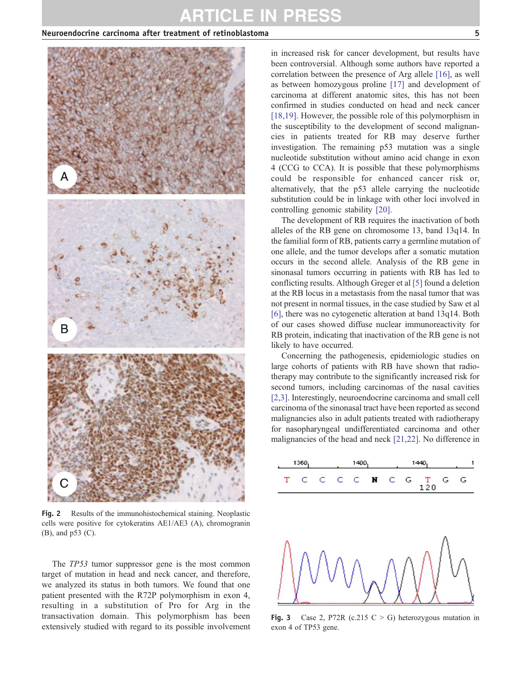### ARTICLE IN PRESS

### Neuroendocrine carcinoma after treatment of retinoblastoma 5



Fig. 2 Results of the immunohistochemical staining. Neoplastic cells were positive for cytokeratins AE1/AE3 (A), chromogranin (B), and p53 (C).

The *TP53* tumor suppressor gene is the most common target of mutation in head and neck cancer, and therefore, we analyzed its status in both tumors. We found that one patient presented with the R72P polymorphism in exon 4, resulting in a substitution of Pro for Arg in the transactivation domain. This polymorphism has been extensively studied with regard to its possible involvement in increased risk for cancer development, but results have been controversial. Although some authors have reported a correlation between the presence of Arg allele [16], as well as between homozygous proline [17] and development of carcinoma at different anatomic sites, this has not been confirmed in studies conducted on head and neck cancer [18,19]. However, the possible role of this polymorphism in the susceptibility to the development of second malignancies in patients treated for RB may deserve further investigation. The remaining p53 mutation was a single nucleotide substitution without amino acid change in exon 4 (CCG to CCA). It is possible that these polymorphisms could be responsible for enhanced cancer risk or, alternatively, that the p53 allele carrying the nucleotide substitution could be in linkage with other loci involved in controlling genomic stability [20].

The development of RB requires the inactivation of both alleles of the RB gene on chromosome 13, band 13q14. In the familial form of RB, patients carry a germline mutation of one allele, and the tumor develops after a somatic mutation occurs in the second allele. Analysis of the RB gene in sinonasal tumors occurring in patients with RB has led to conflicting results. Although Greger et al [5] found a deletion at the RB locus in a metastasis from the nasal tumor that was not present in normal tissues, in the case studied by Saw et al [6], there was no cytogenetic alteration at band 13q14. Both of our cases showed diffuse nuclear immunoreactivity for RB protein, indicating that inactivation of the RB gene is not likely to have occurred.

Concerning the pathogenesis, epidemiologic studies on large cohorts of patients with RB have shown that radiotherapy may contribute to the significantly increased risk for second tumors, including carcinomas of the nasal cavities [2,3]. Interestingly, neuroendocrine carcinoma and small cell carcinoma of the sinonasal tract have been reported as second malignancies also in adult patients treated with radiotherapy for nasopharyngeal undifferentiated carcinoma and other malignancies of the head and neck [21,22]. No difference in



Fig. 3 Case 2, P72R (c.215 C  $>$  G) heterozygous mutation in exon 4 of TP53 gene.